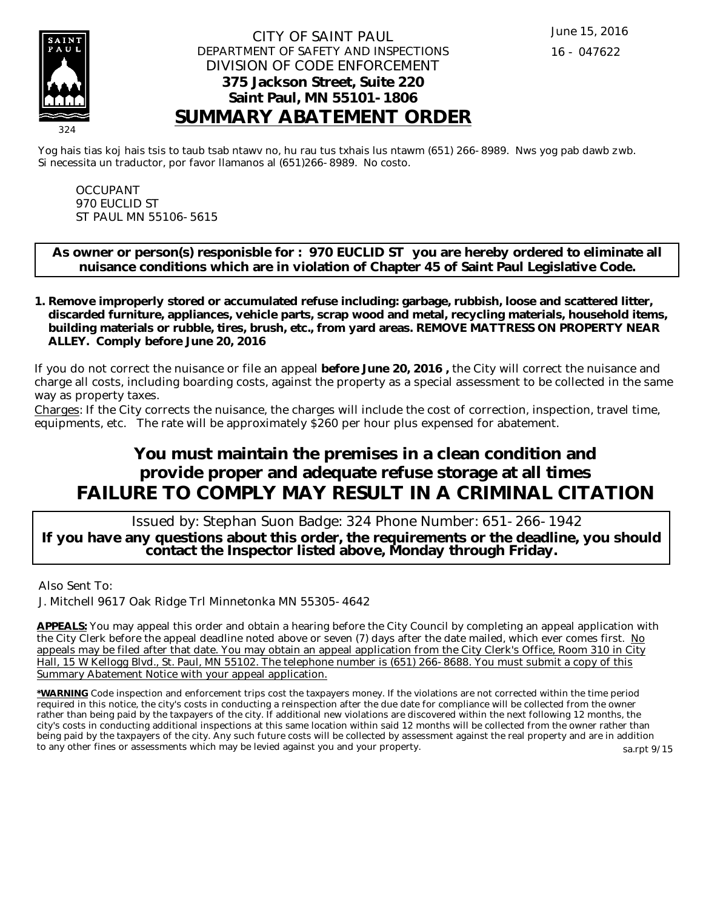

### CITY OF SAINT PAUL DEPARTMENT OF SAFETY AND INSPECTIONS DIVISION OF CODE ENFORCEMENT **375 Jackson Street, Suite 220 Saint Paul, MN 55101-1806 SUMMARY ABATEMENT ORDER**

Yog hais tias koj hais tsis to taub tsab ntawv no, hu rau tus txhais lus ntawm (651) 266-8989. Nws yog pab dawb zwb. Si necessita un traductor, por favor llamanos al (651)266-8989. No costo.

OCCUPANT 970 EUCLID ST ST PAUL MN 55106-5615

**As owner or person(s) responisble for : 970 EUCLID ST you are hereby ordered to eliminate all nuisance conditions which are in violation of Chapter 45 of Saint Paul Legislative Code.**

**Remove improperly stored or accumulated refuse including: garbage, rubbish, loose and scattered litter, 1. discarded furniture, appliances, vehicle parts, scrap wood and metal, recycling materials, household items, building materials or rubble, tires, brush, etc., from yard areas. REMOVE MATTRESS ON PROPERTY NEAR ALLEY. Comply before June 20, 2016**

If you do not correct the nuisance or file an appeal **before June 20, 2016 ,** the City will correct the nuisance and charge all costs, including boarding costs, against the property as a special assessment to be collected in the same way as property taxes.

Charges: If the City corrects the nuisance, the charges will include the cost of correction, inspection, travel time, equipments, etc. The rate will be approximately \$260 per hour plus expensed for abatement.

# **You must maintain the premises in a clean condition and provide proper and adequate refuse storage at all times FAILURE TO COMPLY MAY RESULT IN A CRIMINAL CITATION**

 Issued by: Stephan Suon Badge: 324 Phone Number: 651-266-1942 **If you have any questions about this order, the requirements or the deadline, you should contact the Inspector listed above, Monday through Friday.**

Also Sent To:

J. Mitchell 9617 Oak Ridge Trl Minnetonka MN 55305-4642

**APPEALS:** You may appeal this order and obtain a hearing before the City Council by completing an appeal application with the City Clerk before the appeal deadline noted above or seven (7) days after the date mailed, which ever comes first. No appeals may be filed after that date. You may obtain an appeal application from the City Clerk's Office, Room 310 in City Hall, 15 W Kellogg Blvd., St. Paul, MN 55102. The telephone number is (651) 266-8688. You must submit a copy of this Summary Abatement Notice with your appeal application.

**\*WARNING** Code inspection and enforcement trips cost the taxpayers money. If the violations are not corrected within the time period required in this notice, the city's costs in conducting a reinspection after the due date for compliance will be collected from the owner rather than being paid by the taxpayers of the city. If additional new violations are discovered within the next following 12 months, the city's costs in conducting additional inspections at this same location within said 12 months will be collected from the owner rather than being paid by the taxpayers of the city. Any such future costs will be collected by assessment against the real property and are in addition to any other fines or assessments which may be levied against you and your property. sa.rpt 9/15